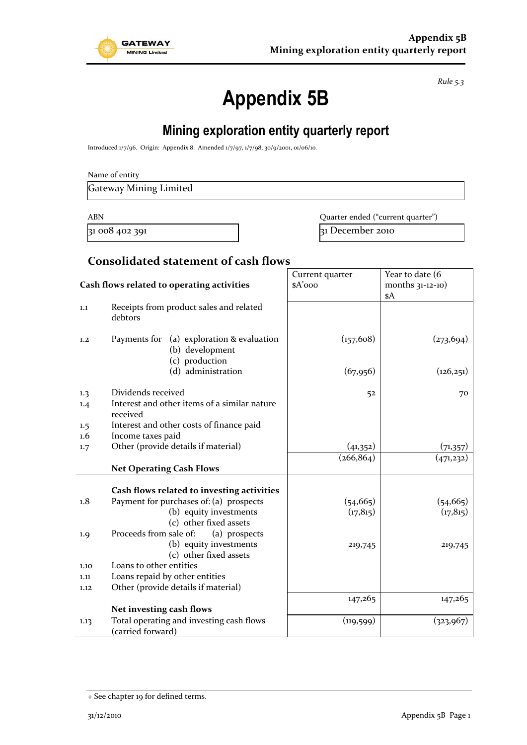

*Rule 5.3*

# **Appendix 5B**

## **Mining exploration entity quarterly report**

Introduced 1/7/96. Origin: Appendix 8. Amended 1/7/97, 1/7/98, 30/9/2001, 01/06/10.

| Name of entity |
|----------------|
|----------------|

Gateway Mining Limited

ABN **ABN** Quarter ended ("current quarter")

31 008 402 391 31 31 December 2010

### **Consolidated statement of cash flows**

| Cash flows related to operating activities |                                                                                | Current quarter<br>\$A'ooo | Year to date (6<br>months $31-12-10$ ) |
|--------------------------------------------|--------------------------------------------------------------------------------|----------------------------|----------------------------------------|
| 1,1                                        | Receipts from product sales and related<br>debtors                             |                            | \$A                                    |
| 1,2                                        | Payments for (a) exploration & evaluation<br>(b) development<br>(c) production | (157, 608)                 | (273, 694)                             |
|                                            | (d) administration                                                             | (67, 956)                  | (126, 251)                             |
| 1.3                                        | Dividends received                                                             | 52                         | 70                                     |
| 1.4                                        | Interest and other items of a similar nature<br>received                       |                            |                                        |
| 1.5                                        | Interest and other costs of finance paid                                       |                            |                                        |
| $1.6\,$                                    | Income taxes paid                                                              |                            |                                        |
| 1.7                                        | Other (provide details if material)                                            | (41,352)                   | (71,357)                               |
|                                            |                                                                                | (266, 864)                 | (471,232)                              |
|                                            | <b>Net Operating Cash Flows</b>                                                |                            |                                        |
|                                            |                                                                                |                            |                                        |
|                                            | Cash flows related to investing activities                                     |                            |                                        |
| 1.8                                        | Payment for purchases of: (a) prospects                                        | (54, 665)                  | (54, 665)                              |
|                                            | (b) equity investments                                                         | (17, 815)                  | (17, 815)                              |
|                                            | (c) other fixed assets                                                         |                            |                                        |
| 1.9                                        | Proceeds from sale of:<br>(a) prospects                                        |                            |                                        |
|                                            | (b) equity investments                                                         | 219,745                    | 219,745                                |
|                                            | (c) other fixed assets                                                         |                            |                                        |
| 1.10                                       | Loans to other entities                                                        |                            |                                        |
| 1.11                                       | Loans repaid by other entities                                                 |                            |                                        |
| 1.12                                       | Other (provide details if material)                                            |                            |                                        |
|                                            |                                                                                | 147,265                    | 147,265                                |
|                                            | Net investing cash flows                                                       |                            |                                        |
| 1.13                                       | Total operating and investing cash flows<br>(carried forward)                  | (119, 599)                 | (323, 967)                             |

<sup>+</sup> See chapter 19 for defined terms.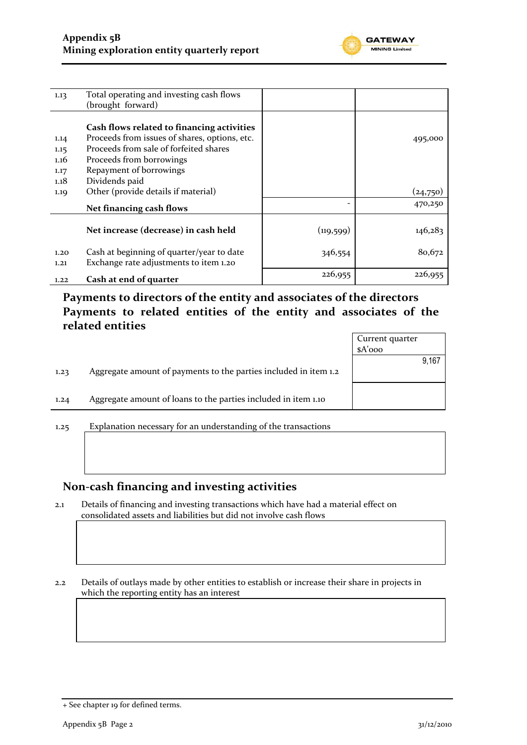

| 1.13 | Total operating and investing cash flows      |            |          |
|------|-----------------------------------------------|------------|----------|
|      | (brought forward)                             |            |          |
|      |                                               |            |          |
|      | Cash flows related to financing activities    |            |          |
| 1.14 | Proceeds from issues of shares, options, etc. |            | 495,000  |
| 1.15 | Proceeds from sale of forfeited shares        |            |          |
| 1.16 | Proceeds from borrowings                      |            |          |
| 1.17 | Repayment of borrowings                       |            |          |
| 1.18 | Dividends paid                                |            |          |
| 1.19 | Other (provide details if material)           |            | (24,750) |
|      | Net financing cash flows                      |            | 470,250  |
|      |                                               |            |          |
|      | Net increase (decrease) in cash held          | (119, 599) | 146,283  |
|      |                                               |            |          |
| 1.20 | Cash at beginning of quarter/year to date     | 346,554    | 80,672   |
| 1,21 | Exchange rate adjustments to item 1.20        |            |          |
| 1.22 | Cash at end of quarter                        | 226,955    | 226,955  |

**Payments to directors of the entity and associates of the directors Payments to related entities of the entity and associates of the related entities**

|      |                                                                  | Current quarter |       |
|------|------------------------------------------------------------------|-----------------|-------|
|      |                                                                  | $A'$ ooo        |       |
|      |                                                                  |                 | 9,167 |
| 1.23 | Aggregate amount of payments to the parties included in item 1.2 |                 |       |
|      | Aggregate amount of loans to the parties included in item 1.10   |                 |       |
| 1.24 |                                                                  |                 |       |
|      |                                                                  |                 |       |

1.25 Explanation necessary for an understanding of the transactions

#### **Non-cash financing and investing activities**

2.1 Details of financing and investing transactions which have had a material effect on consolidated assets and liabilities but did not involve cash flows

2.2 Details of outlays made by other entities to establish or increase their share in projects in which the reporting entity has an interest

<sup>+</sup> See chapter 19 for defined terms.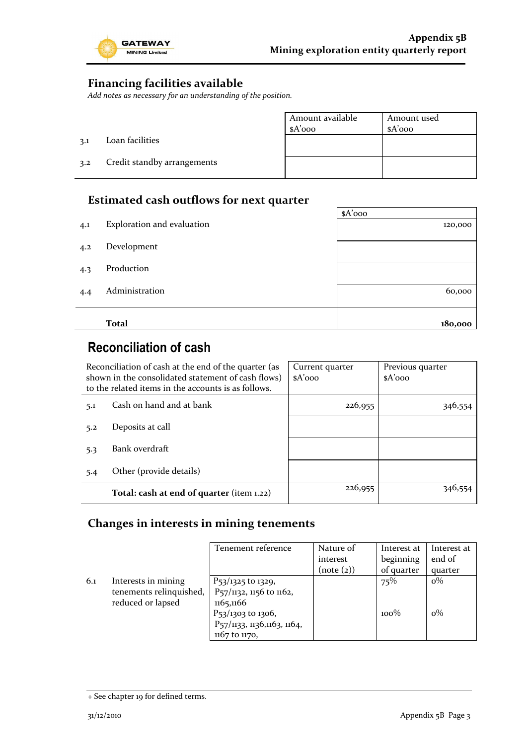

۳

### **Financing facilities available**

*Add notes as necessary for an understanding of the position.*

|     |                             | Amount available<br>$A'$ 000 | Amount used<br>$A'$ 000 |
|-----|-----------------------------|------------------------------|-------------------------|
| 3.1 | Loan facilities             |                              |                         |
| 3.2 | Credit standby arrangements |                              |                         |

### **Estimated cash outflows for next quarter**

|     |                            | $A'$ 000 |
|-----|----------------------------|----------|
| 4.1 | Exploration and evaluation | 120,000  |
| 4.2 | Development                |          |
| 4.3 | Production                 |          |
| 4.4 | Administration             | 60,000   |
|     |                            |          |
|     | <b>Total</b>               | 180,000  |

### **Reconciliation of cash**

| Reconciliation of cash at the end of the quarter (as<br>shown in the consolidated statement of cash flows)<br>to the related items in the accounts is as follows. |                                           | Current quarter<br>$A'$ 000 | Previous quarter<br>$A'$ 000 |
|-------------------------------------------------------------------------------------------------------------------------------------------------------------------|-------------------------------------------|-----------------------------|------------------------------|
| 5.1                                                                                                                                                               | Cash on hand and at bank                  | 226,955                     |                              |
| 5.2                                                                                                                                                               | Deposits at call                          |                             |                              |
| 5.3                                                                                                                                                               | Bank overdraft                            |                             |                              |
| 5.4                                                                                                                                                               | Other (provide details)                   |                             |                              |
|                                                                                                                                                                   | Total: cash at end of quarter (item 1.22) | 226,955                     |                              |

### **Changes in interests in mining tenements**

|     |                                                                     | Tenement reference                                                                                                                                      | Nature of<br>interest<br>(note (2)) | Interest at<br>beginning<br>of quarter | Interest at<br>end of<br>quarter |
|-----|---------------------------------------------------------------------|---------------------------------------------------------------------------------------------------------------------------------------------------------|-------------------------------------|----------------------------------------|----------------------------------|
| 6.1 | Interests in mining<br>tenements relinquished,<br>reduced or lapsed | P <sub>53</sub> /1325 to 1329,<br>P57/1132, 1156 to 1162,<br>1165,1166<br>P <sub>53</sub> /1303 to 1306,<br>P57/1133, 1136,1163, 1164,<br>1167 to 1170, |                                     | 75%<br>$100\%$                         | $o\%$<br>$o\%$                   |

<sup>+</sup> See chapter 19 for defined terms.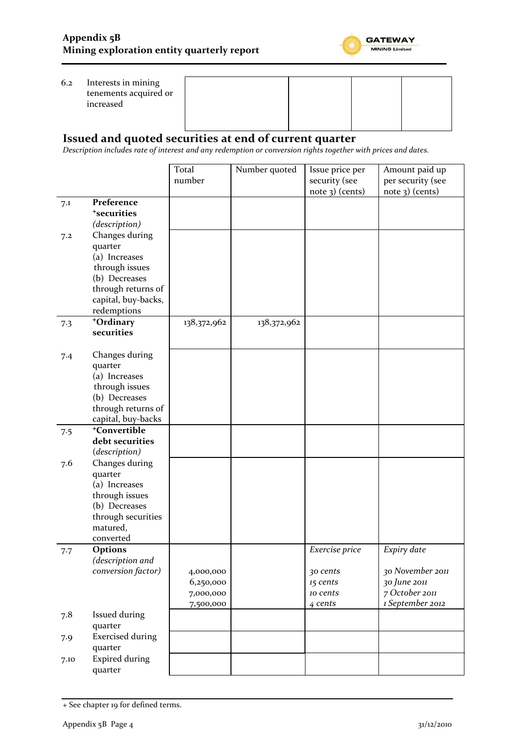

#### 6.2 Interests in mining tenements acquired or increased

### **Issued and quoted securities at end of current quarter**

*Description includes rate of interest and any redemption or conversion rights together with prices and dates.*

|      |                          | Total       | Number quoted | Issue price per   | Amount paid up    |
|------|--------------------------|-------------|---------------|-------------------|-------------------|
|      |                          | number      |               | security (see     | per security (see |
|      |                          |             |               | $note$ 3) (cents) | $note$ 3) (cents) |
| 7.1  | Preference               |             |               |                   |                   |
|      | <sup>+</sup> securities  |             |               |                   |                   |
|      | (description)            |             |               |                   |                   |
| 7.2  | Changes during           |             |               |                   |                   |
|      | quarter                  |             |               |                   |                   |
|      | (a) Increases            |             |               |                   |                   |
|      | through issues           |             |               |                   |                   |
|      | (b) Decreases            |             |               |                   |                   |
|      | through returns of       |             |               |                   |                   |
|      | capital, buy-backs,      |             |               |                   |                   |
|      | redemptions              |             |               |                   |                   |
| 7.3  | +Ordinary                | 138,372,962 | 138,372,962   |                   |                   |
|      | securities               |             |               |                   |                   |
|      |                          |             |               |                   |                   |
| 7.4  | Changes during           |             |               |                   |                   |
|      | quarter                  |             |               |                   |                   |
|      | (a) Increases            |             |               |                   |                   |
|      | through issues           |             |               |                   |                   |
|      | (b) Decreases            |             |               |                   |                   |
|      | through returns of       |             |               |                   |                   |
|      | capital, buy-backs       |             |               |                   |                   |
| 7.5  | <sup>+</sup> Convertible |             |               |                   |                   |
|      | debt securities          |             |               |                   |                   |
|      | (description)            |             |               |                   |                   |
| 7.6  | Changes during           |             |               |                   |                   |
|      | quarter                  |             |               |                   |                   |
|      | (a) Increases            |             |               |                   |                   |
|      | through issues           |             |               |                   |                   |
|      | (b) Decreases            |             |               |                   |                   |
|      | through securities       |             |               |                   |                   |
|      | matured,                 |             |               |                   |                   |
|      | converted                |             |               |                   |                   |
| 7.7  | Options                  |             |               | Exercise price    | Expiry date       |
|      | (description and         |             |               |                   |                   |
|      | conversion factor)       | 4,000,000   |               | 30 cents          | 30 November 2011  |
|      |                          | 6,250,000   |               | 15 cents          | 30 June 2011      |
|      |                          | 7,000,000   |               | 10 cents          | 7 October 2011    |
|      |                          | 7,500,000   |               | 4 cents           | 1 September 2012  |
| 7.8  | Issued during            |             |               |                   |                   |
|      | quarter                  |             |               |                   |                   |
| 7.9  | <b>Exercised during</b>  |             |               |                   |                   |
|      | quarter                  |             |               |                   |                   |
| 7.10 | <b>Expired during</b>    |             |               |                   |                   |
|      | quarter                  |             |               |                   |                   |

<sup>+</sup> See chapter 19 for defined terms.